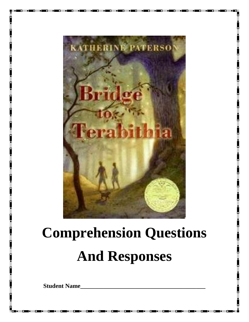

# **Comprehension Questions And Responses**

**Student Name\_\_\_\_\_\_\_\_\_\_\_\_\_\_\_\_\_\_\_\_\_\_\_\_\_\_\_\_\_\_\_\_\_\_\_\_\_\_\_\_\_**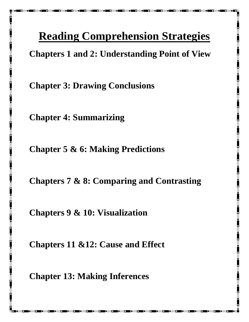## **Reading Comprehension Strategies**

**Chapters 1 and 2: Understanding Point of View**

**Chapter 3: Drawing Conclusions**

**Chapter 4: Summarizing**

**Chapter 5 & 6: Making Predictions**

**Chapters 7 & 8: Comparing and Contrasting**

**Chapters 9 & 10: Visualization**

**Chapters 11 &12: Cause and Effect**

**Chapter 13: Making Inferences**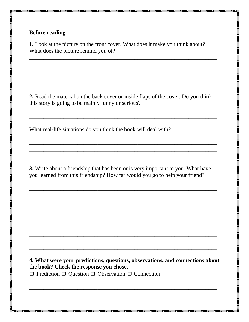#### **Before reading**

1. Look at the picture on the front cover. What does it make you think about? What does the picture remind you of?

2. Read the material on the back cover or inside flaps of the cover. Do you think this story is going to be mainly funny or serious?

What real-life situations do you think the book will deal with?

3. Write about a friendship that has been or is very important to you. What have you learned from this friendship? How far would you go to help your friend?

4. What were your predictions, questions, observations, and connections about the book? Check the response you chose.  $\Box$  Prediction  $\Box$  Question  $\Box$  Observation  $\Box$  Connection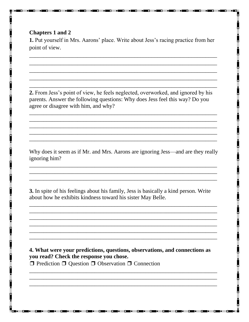#### **Chapters 1 and 2**

**1.** Put yourself in Mrs. Aarons' place. Write about Jess's racing practice from her point of view.

2. From Jess's point of view, he feels neglected, overworked, and ignored by his parents. Answer the following questions: Why does Jess feel this way? Do you agree or disagree with him, and why?

Why does it seem as if Mr. and Mrs. Aarons are ignoring Jess—and are they really ignoring him?

3. In spite of his feelings about his family, Jess is basically a kind person. Write about how he exhibits kindness toward his sister May Belle.

4. What were your predictions, questions, observations, and connections as you read? Check the response you chose.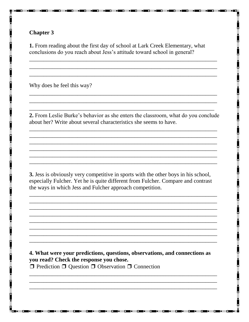1. From reading about the first day of school at Lark Creek Elementary, what conclusions do you reach about Jess's attitude toward school in general?

Why does he feel this way?

2. From Leslie Burke's behavior as she enters the classroom, what do you conclude about her? Write about several characteristics she seems to have.

3. Jess is obviously very competitive in sports with the other boys in his school, especially Fulcher. Yet he is quite different from Fulcher. Compare and contrast the ways in which Jess and Fulcher approach competition.

4. What were your predictions, questions, observations, and connections as you read? Check the response you chose.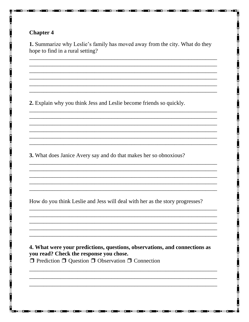1. Summarize why Leslie's family has moved away from the city. What do they hope to find in a rural setting?

2. Explain why you think Jess and Leslie become friends so quickly.

3. What does Janice Avery say and do that makes her so obnoxious?

How do you think Leslie and Jess will deal with her as the story progresses?

4. What were your predictions, questions, observations, and connections as you read? Check the response you chose.  $\Box$  Prediction  $\Box$  Question  $\Box$  Observation  $\Box$  Connection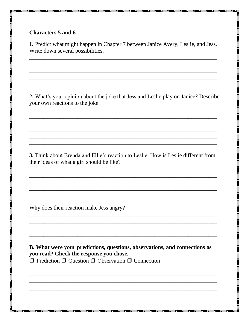#### **Characters 5 and 6**

1. Predict what might happen in Chapter 7 between Janice Avery, Leslie, and Jess. Write down several possibilities.

2. What's your opinion about the joke that Jess and Leslie play on Janice? Describe your own reactions to the joke.

3. Think about Brenda and Ellie's reaction to Leslie. How is Leslie different from their ideas of what a girl should be like?

Why does their reaction make Jess angry?

B. What were your predictions, questions, observations, and connections as you read? Check the response you chose.  $\Box$  Prediction  $\Box$  Question  $\Box$  Observation  $\Box$  Connection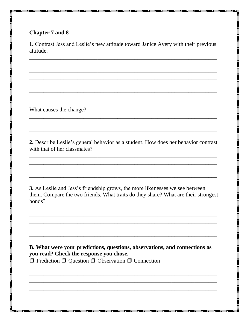#### **Chapter 7 and 8**

1. Contrast Jess and Leslie's new attitude toward Janice Avery with their previous attitude.

What causes the change?

2. Describe Leslie's general behavior as a student. How does her behavior contrast with that of her classmates?

3. As Leslie and Jess's friendship grows, the more likenesses we see between them. Compare the two friends. What traits do they share? What are their strongest bonds?

B. What were your predictions, questions, observations, and connections as you read? Check the response you chose.  $\Box$  Prediction  $\Box$  Question  $\Box$  Observation  $\Box$  Connection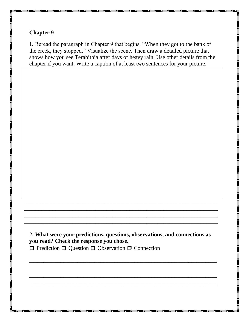**1.** Reread the paragraph in Chapter 9 that begins, "When they got to the bank of the creek, they stopped." Visualize the scene. Then draw a detailed picture that shows how you see Terabithia after days of heavy rain. Use other details from the chapter if you want. Write a caption of at least two sentences for your picture.

### **2. What were your predictions, questions, observations, and connections as you read? Check the response you chose.**

 $\overline{a_1}$  ,  $\overline{a_2}$  ,  $\overline{a_3}$  ,  $\overline{a_4}$  ,  $\overline{a_5}$  ,  $\overline{a_6}$  ,  $\overline{a_7}$  ,  $\overline{a_8}$  ,  $\overline{a_9}$  ,  $\overline{a_9}$  ,  $\overline{a_9}$  ,  $\overline{a_9}$  ,  $\overline{a_9}$  ,  $\overline{a_9}$  ,  $\overline{a_9}$  ,  $\overline{a_9}$  ,  $\overline{a_9}$  ,  $\overline{a_1}$  ,  $\overline{a_2}$  ,  $\overline{a_3}$  ,  $\overline{a_4}$  ,  $\overline{a_5}$  ,  $\overline{a_6}$  ,  $\overline{a_7}$  ,  $\overline{a_8}$  ,  $\overline{a_9}$  ,  $\overline{a_9}$  ,  $\overline{a_9}$  ,  $\overline{a_9}$  ,  $\overline{a_9}$  ,  $\overline{a_9}$  ,  $\overline{a_9}$  ,  $\overline{a_9}$  ,  $\overline{a_9}$  ,  $\overline{a_1}$  ,  $\overline{a_2}$  ,  $\overline{a_3}$  ,  $\overline{a_4}$  ,  $\overline{a_5}$  ,  $\overline{a_6}$  ,  $\overline{a_7}$  ,  $\overline{a_8}$  ,  $\overline{a_9}$  ,  $\overline{a_9}$  ,  $\overline{a_9}$  ,  $\overline{a_9}$  ,  $\overline{a_9}$  ,  $\overline{a_9}$  ,  $\overline{a_9}$  ,  $\overline{a_9}$  ,  $\overline{a_9}$  ,  $\overline{\phantom{a}}$  , and the contribution of the contribution of the contribution of the contribution of the contribution of the contribution of the contribution of the contribution of the contribution of the contribution of the

\_\_\_\_\_\_\_\_\_\_\_\_\_\_\_\_\_\_\_\_\_\_\_\_\_\_\_\_\_\_\_\_\_\_\_\_\_\_\_\_\_\_\_\_\_\_\_\_\_\_\_\_\_\_\_\_\_\_\_\_\_\_\_\_\_\_\_\_ \_\_\_\_\_\_\_\_\_\_\_\_\_\_\_\_\_\_\_\_\_\_\_\_\_\_\_\_\_\_\_\_\_\_\_\_\_\_\_\_\_\_\_\_\_\_\_\_\_\_\_\_\_\_\_\_\_\_\_\_\_\_\_\_\_\_\_\_ \_\_\_\_\_\_\_\_\_\_\_\_\_\_\_\_\_\_\_\_\_\_\_\_\_\_\_\_\_\_\_\_\_\_\_\_\_\_\_\_\_\_\_\_\_\_\_\_\_\_\_\_\_\_\_\_\_\_\_\_\_\_\_\_\_\_\_\_ \_\_\_\_\_\_\_\_\_\_\_\_\_\_\_\_\_\_\_\_\_\_\_\_\_\_\_\_\_\_\_\_\_\_\_\_\_\_\_\_\_\_\_\_\_\_\_\_\_\_\_\_\_\_\_\_\_\_\_\_\_\_\_\_\_\_\_\_

❒ Prediction ❒ Question ❒ Observation ❒ Connection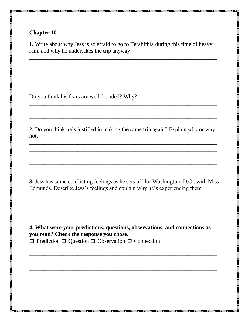1. Write about why Jess is so afraid to go to Terabithia during this time of heavy rain, and why he undertakes the trip anyway.

Do you think his fears are well founded? Why?

2. Do you think he's justified in making the same trip again? Explain why or why not.

3. Jess has some conflicting feelings as he sets off for Washington, D.C., with Miss Edmunds. Describe Jess's feelings and explain why he's experiencing them.

4. What were your predictions, questions, observations, and connections as you read? Check the response you chose.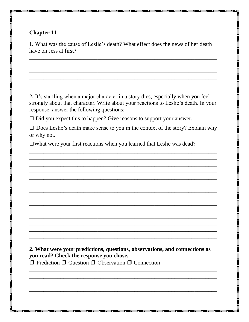**1.** What was the cause of Leslie's death? What effect does the news of her death have on Jess at first?

2. It's startling when a major character in a story dies, especially when you feel strongly about that character. Write about your reactions to Leslie's death. In your response, answer the following questions:

 $\Box$  Did you expect this to happen? Give reasons to support your answer.

 $\Box$  Does Leslie's death make sense to you in the context of the story? Explain why or why not.

□What were your first reactions when you learned that Leslie was dead?

2. What were your predictions, questions, observations, and connections as you read? Check the response you chose.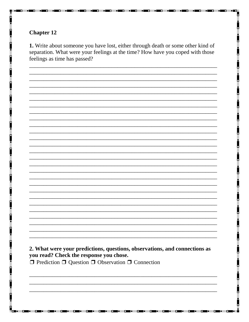1. Write about someone you have lost, either through death or some other kind of separation. What were your feelings at the time? How have you coped with those feelings as time has passed?

2. What were your predictions, questions, observations, and connections as you read? Check the response you chose.